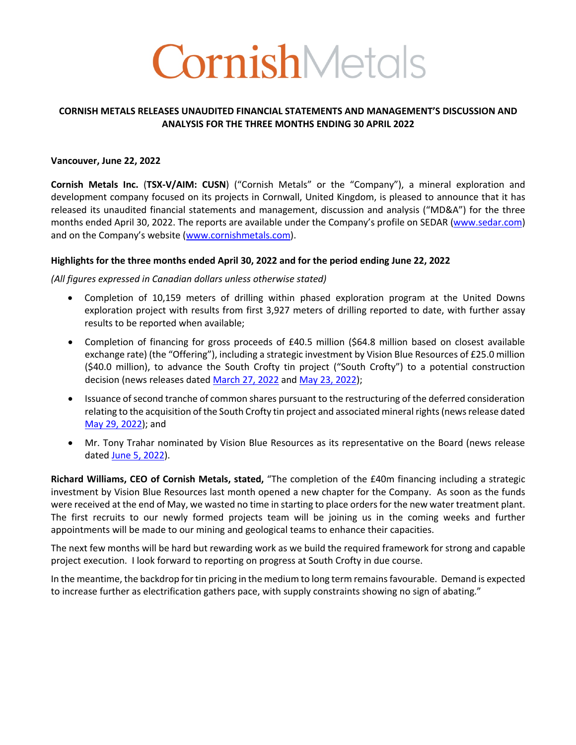

## **CORNISH METALS RELEASES UNAUDITED FINANCIAL STATEMENTS AND MANAGEMENT'S DISCUSSION AND ANALYSIS FOR THE THREE MONTHS ENDING 30 APRIL 2022**

### **Vancouver, June 22, 2022**

**Cornish Metals Inc.** (**TSX-V/AIM: CUSN**) ("Cornish Metals" or the "Company"), a mineral exploration and development company focused on its projects in Cornwall, United Kingdom, is pleased to announce that it has released its unaudited financial statements and management, discussion and analysis ("MD&A") for the three months ended April 30, 2022. The reports are available under the Company's profile on SEDAR (www.sedar.com) and on the Company's website (www.cornishmetals.com).

### **Highlights for the three months ended April 30, 2022 and for the period ending June 22, 2022**

*(All figures expressed in Canadian dollars unless otherwise stated)*

- Completion of 10,159 meters of drilling within phased exploration program at the United Downs exploration project with results from first 3,927 meters of drilling reported to date, with further assay results to be reported when available;
- Completion of financing for gross proceeds of £40.5 million (\$64.8 million based on closest available exchange rate) (the "Offering"), including a strategic investment by Vision Blue Resources of £25.0 million (\$40.0 million), to advance the South Crofty tin project ("South Crofty") to a potential construction decision (news releases dated March 27, 2022 and May 23, 2022);
- Issuance of second tranche of common shares pursuant to the restructuring of the deferred consideration relating to the acquisition of the South Crofty tin project and associated mineral rights(news release dated May 29, 2022); and
- Mr. Tony Trahar nominated by Vision Blue Resources as its representative on the Board (news release dated June 5, 2022).

**Richard Williams, CEO of Cornish Metals, stated,** "The completion of the £40m financing including a strategic investment by Vision Blue Resources last month opened a new chapter for the Company. As soon as the funds were received at the end of May, we wasted no time in starting to place orders for the new water treatment plant. The first recruits to our newly formed projects team will be joining us in the coming weeks and further appointments will be made to our mining and geological teams to enhance their capacities.

The next few months will be hard but rewarding work as we build the required framework for strong and capable project execution. I look forward to reporting on progress at South Crofty in due course.

In the meantime, the backdrop for tin pricing in the medium to long term remainsfavourable. Demand is expected to increase further as electrification gathers pace, with supply constraints showing no sign of abating."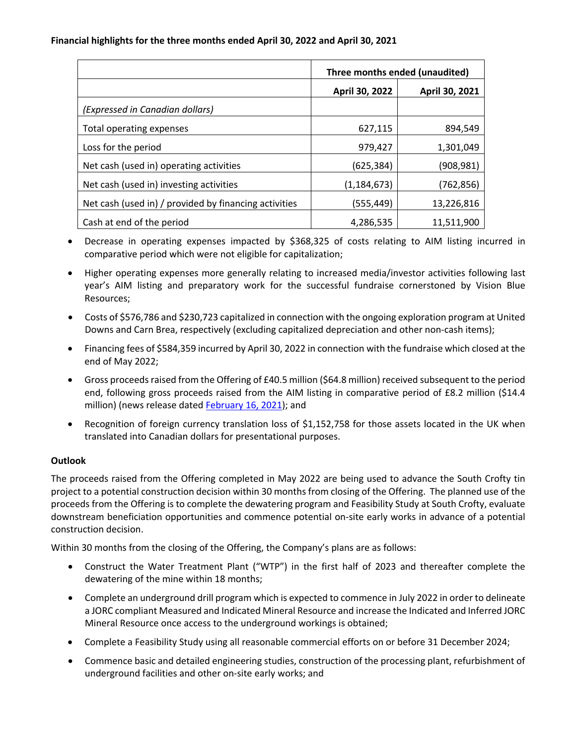## **Financial highlights for the three months ended April 30, 2022 and April 30, 2021**

|                                                       | Three months ended (unaudited) |                |  |  |
|-------------------------------------------------------|--------------------------------|----------------|--|--|
|                                                       | April 30, 2022                 | April 30, 2021 |  |  |
| (Expressed in Canadian dollars)                       |                                |                |  |  |
| Total operating expenses                              | 627,115                        | 894,549        |  |  |
| Loss for the period                                   | 979,427                        | 1,301,049      |  |  |
| Net cash (used in) operating activities               | (625,384)                      | (908,981)      |  |  |
| Net cash (used in) investing activities               | (1,184,673)                    | (762,856)      |  |  |
| Net cash (used in) / provided by financing activities | (555, 449)                     | 13,226,816     |  |  |
| Cash at end of the period                             | 4.286.535                      | 11.511.900     |  |  |

- Decrease in operating expenses impacted by \$368,325 of costs relating to AIM listing incurred in comparative period which were not eligible for capitalization;
- Higher operating expenses more generally relating to increased media/investor activities following last year's AIM listing and preparatory work for the successful fundraise cornerstoned by Vision Blue Resources;
- Costs of \$576,786 and \$230,723 capitalized in connection with the ongoing exploration program at United Downs and Carn Brea, respectively (excluding capitalized depreciation and other non-cash items);
- Financing fees of \$584,359 incurred by April 30, 2022 in connection with the fundraise which closed at the end of May 2022;
- Gross proceeds raised from the Offering of £40.5 million (\$64.8 million) received subsequent to the period end, following gross proceeds raised from the AIM listing in comparative period of £8.2 million (\$14.4 million) (news release dated February 16, 2021); and
- Recognition of foreign currency translation loss of \$1,152,758 for those assets located in the UK when translated into Canadian dollars for presentational purposes.

## **Outlook**

The proceeds raised from the Offering completed in May 2022 are being used to advance the South Crofty tin project to a potential construction decision within 30 months from closing of the Offering. The planned use of the proceeds from the Offering is to complete the dewatering program and Feasibility Study at South Crofty, evaluate downstream beneficiation opportunities and commence potential on-site early works in advance of a potential construction decision.

Within 30 months from the closing of the Offering, the Company's plans are as follows:

- Construct the Water Treatment Plant ("WTP") in the first half of 2023 and thereafter complete the dewatering of the mine within 18 months;
- Complete an underground drill program which is expected to commence in July 2022 in order to delineate a JORC compliant Measured and Indicated Mineral Resource and increase the Indicated and Inferred JORC Mineral Resource once access to the underground workings is obtained;
- Complete a Feasibility Study using all reasonable commercial efforts on or before 31 December 2024;
- Commence basic and detailed engineering studies, construction of the processing plant, refurbishment of underground facilities and other on-site early works; and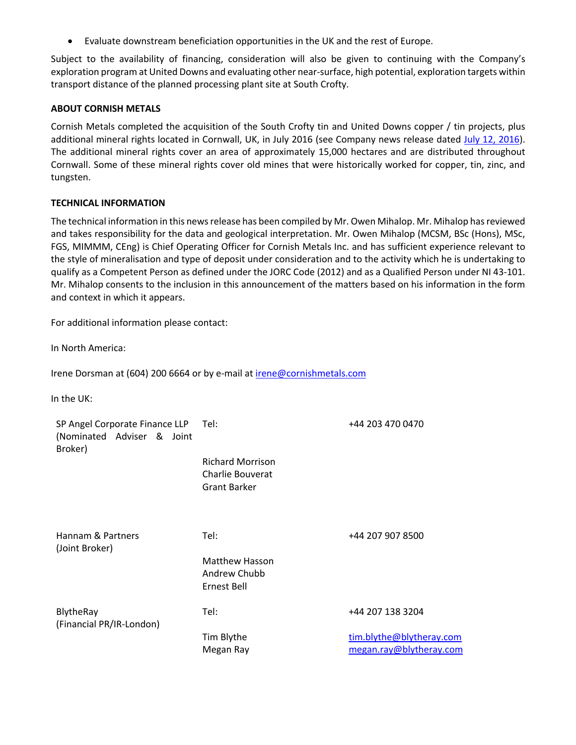• Evaluate downstream beneficiation opportunities in the UK and the rest of Europe.

Subject to the availability of financing, consideration will also be given to continuing with the Company's exploration program at United Downs and evaluating other near-surface, high potential, exploration targets within transport distance of the planned processing plant site at South Crofty.

## **ABOUT CORNISH METALS**

Cornish Metals completed the acquisition of the South Crofty tin and United Downs copper / tin projects, plus additional mineral rights located in Cornwall, UK, in July 2016 (see Company news release dated July 12, 2016). The additional mineral rights cover an area of approximately 15,000 hectares and are distributed throughout Cornwall. Some of these mineral rights cover old mines that were historically worked for copper, tin, zinc, and tungsten.

## **TECHNICAL INFORMATION**

The technical information in this news release has been compiled by Mr. Owen Mihalop. Mr. Mihalop has reviewed and takes responsibility for the data and geological interpretation. Mr. Owen Mihalop (MCSM, BSc (Hons), MSc, FGS, MIMMM, CEng) is Chief Operating Officer for Cornish Metals Inc. and has sufficient experience relevant to the style of mineralisation and type of deposit under consideration and to the activity which he is undertaking to qualify as a Competent Person as defined under the JORC Code (2012) and as a Qualified Person under NI 43-101. Mr. Mihalop consents to the inclusion in this announcement of the matters based on his information in the form and context in which it appears.

For additional information please contact:

In North America:

Irene Dorsman at (604) 200 6664 or by e-mail at irene@cornishmetals.com

In the UK:

| SP Angel Corporate Finance LLP<br>(Nominated Adviser & Joint<br>Broker) | Tel:                                                               | +44 203 470 0470                                    |
|-------------------------------------------------------------------------|--------------------------------------------------------------------|-----------------------------------------------------|
|                                                                         | <b>Richard Morrison</b><br>Charlie Bouverat<br><b>Grant Barker</b> |                                                     |
| Hannam & Partners<br>(Joint Broker)                                     | Tel:                                                               | +44 207 907 8500                                    |
|                                                                         | <b>Matthew Hasson</b><br>Andrew Chubb<br>Ernest Bell               |                                                     |
| BlytheRay<br>(Financial PR/IR-London)                                   | Tel:                                                               | +44 207 138 3204                                    |
|                                                                         | Tim Blythe<br>Megan Ray                                            | tim.blythe@blytheray.com<br>megan.ray@blytheray.com |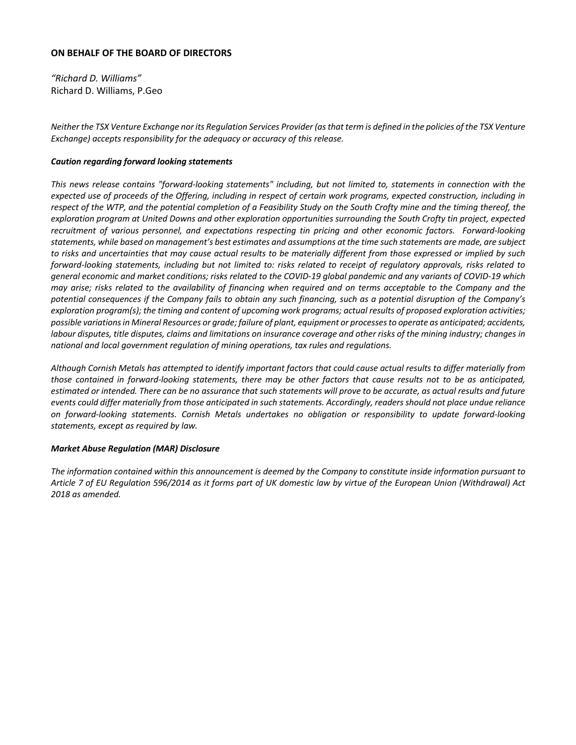### **ON BEHALF OF THE BOARD OF DIRECTORS**

*"Richard D. Williams"* Richard D. Williams, P.Geo

*Neither the TSX Venture Exchange nor its Regulation Services Provider (as that term is defined in the policies of the TSX Venture Exchange) accepts responsibility for the adequacy or accuracy of this release.* 

#### *Caution regarding forward looking statements*

*This news release contains "forward-looking statements" including, but not limited to, statements in connection with the expected use of proceeds of the Offering, including in respect of certain work programs, expected construction, including in respect of the WTP, and the potential completion of a Feasibility Study on the South Crofty mine and the timing thereof, the exploration program at United Downs and other exploration opportunities surrounding the South Crofty tin project, expected recruitment of various personnel, and expectations respecting tin pricing and other economic factors. Forward-looking statements, while based on management's best estimates and assumptions at the time such statements are made, are subject to risks and uncertainties that may cause actual results to be materially different from those expressed or implied by such forward-looking statements, including but not limited to: risks related to receipt of regulatory approvals, risks related to general economic and market conditions; risks related to the COVID-19 global pandemic and any variants of COVID-19 which may arise; risks related to the availability of financing when required and on terms acceptable to the Company and the potential consequences if the Company fails to obtain any such financing, such as a potential disruption of the Company's exploration program(s); the timing and content of upcoming work programs; actual results of proposed exploration activities; possible variations in Mineral Resources or grade; failure of plant, equipment or processes to operate as anticipated; accidents, labour disputes, title disputes, claims and limitations on insurance coverage and other risks of the mining industry; changes in national and local government regulation of mining operations, tax rules and regulations.*

*Although Cornish Metals has attempted to identify important factors that could cause actual results to differ materially from those contained in forward-looking statements, there may be other factors that cause results not to be as anticipated, estimated or intended. There can be no assurance that such statements will prove to be accurate, as actual results and future events could differ materially from those anticipated in such statements. Accordingly, readers should not place undue reliance on forward-looking statements. Cornish Metals undertakes no obligation or responsibility to update forward-looking statements, except as required by law.* 

#### *Market Abuse Regulation (MAR) Disclosure*

*The information contained within this announcement is deemed by the Company to constitute inside information pursuant to Article 7 of EU Regulation 596/2014 as it forms part of UK domestic law by virtue of the European Union (Withdrawal) Act 2018 as amended.*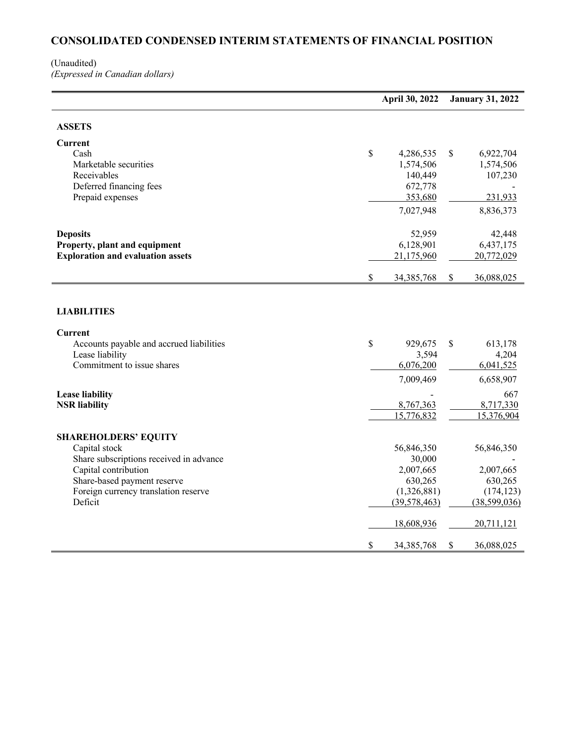# **CONSOLIDATED CONDENSED INTERIM STATEMENTS OF FINANCIAL POSITION**

### (Unaudited)

|                                                     | April 30, 2022     | <b>January 31, 2022</b> |                |  |
|-----------------------------------------------------|--------------------|-------------------------|----------------|--|
| <b>ASSETS</b>                                       |                    |                         |                |  |
| Current                                             |                    |                         |                |  |
| Cash                                                | \$<br>4,286,535    | \$                      | 6,922,704      |  |
| Marketable securities                               | 1,574,506          |                         | 1,574,506      |  |
| Receivables                                         | 140,449            |                         | 107,230        |  |
| Deferred financing fees                             | 672,778            |                         |                |  |
| Prepaid expenses                                    | 353,680            |                         | 231,933        |  |
|                                                     | 7,027,948          |                         | 8,836,373      |  |
| <b>Deposits</b>                                     | 52,959             |                         | 42,448         |  |
| Property, plant and equipment                       | 6,128,901          |                         | 6,437,175      |  |
| <b>Exploration and evaluation assets</b>            | 21,175,960         |                         | 20,772,029     |  |
|                                                     | \$<br>34, 385, 768 | \$                      | 36,088,025     |  |
| <b>LIABILITIES</b>                                  |                    |                         |                |  |
| Current<br>Accounts payable and accrued liabilities | \$<br>929,675      | \$                      | 613,178        |  |
| Lease liability                                     | 3,594              |                         | 4,204          |  |
| Commitment to issue shares                          | 6,076,200          |                         | 6,041,525      |  |
|                                                     | 7,009,469          |                         | 6,658,907      |  |
| <b>Lease liability</b>                              |                    |                         | 667            |  |
| <b>NSR</b> liability                                | 8,767,363          |                         | 8,717,330      |  |
|                                                     | 15,776,832         |                         | 15,376,904     |  |
| <b>SHAREHOLDERS' EQUITY</b>                         |                    |                         |                |  |
| Capital stock                                       | 56,846,350         |                         | 56,846,350     |  |
| Share subscriptions received in advance             | 30,000             |                         |                |  |
| Capital contribution                                | 2,007,665          |                         | 2,007,665      |  |
| Share-based payment reserve                         | 630,265            |                         | 630,265        |  |
| Foreign currency translation reserve                | (1,326,881)        |                         | (174, 123)     |  |
| Deficit                                             | (39, 578, 463)     |                         | (38, 599, 036) |  |
|                                                     | 18,608,936         |                         | 20,711,121     |  |
|                                                     | \$<br>34, 385, 768 | S.                      | 36,088,025     |  |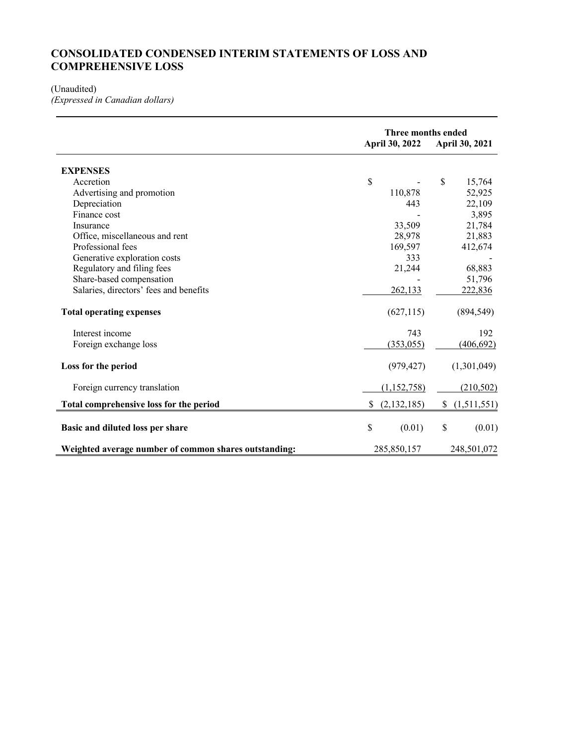# **CONSOLIDATED CONDENSED INTERIM STATEMENTS OF LOSS AND COMPREHENSIVE LOSS**

# (Unaudited)

|                                                       | <b>April 30, 2022</b>  | Three months ended<br>April 30, 2021 |
|-------------------------------------------------------|------------------------|--------------------------------------|
| <b>EXPENSES</b>                                       |                        |                                      |
| Accretion                                             | \$                     | \$<br>15,764                         |
| Advertising and promotion                             | 110,878                | 52,925                               |
| Depreciation                                          | 443                    | 22,109                               |
| Finance cost                                          |                        | 3,895                                |
| Insurance                                             | 33,509                 | 21,784                               |
| Office, miscellaneous and rent                        | 28,978                 | 21,883                               |
| Professional fees                                     | 169,597                | 412,674                              |
| Generative exploration costs                          | 333                    |                                      |
| Regulatory and filing fees                            | 21,244                 | 68,883                               |
| Share-based compensation                              |                        | 51,796                               |
| Salaries, directors' fees and benefits                | 262,133                | 222,836                              |
| <b>Total operating expenses</b>                       | (627, 115)             | (894, 549)                           |
| Interest income                                       | 743                    | 192                                  |
| Foreign exchange loss                                 | (353, 055)             | (406, 692)                           |
| Loss for the period                                   | (979, 427)             | (1,301,049)                          |
| Foreign currency translation                          | (1,152,758)            | (210, 502)                           |
| Total comprehensive loss for the period               | (2,132,185)            | (1,511,551)<br>S.                    |
| Basic and diluted loss per share                      | $\mathbb{S}$<br>(0.01) | \$<br>(0.01)                         |
| Weighted average number of common shares outstanding: | 285,850,157            | 248,501,072                          |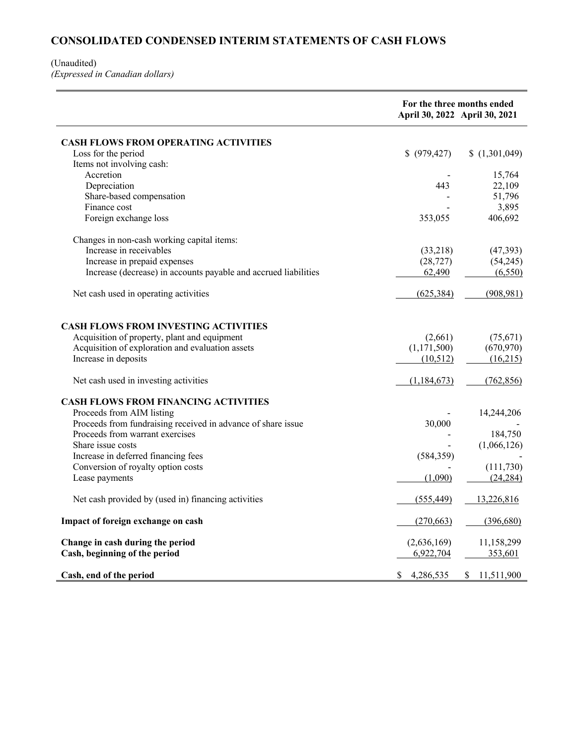# **CONSOLIDATED CONDENSED INTERIM STATEMENTS OF CASH FLOWS**

### (Unaudited)

|                                                                 |                 | For the three months ended<br>April 30, 2022 April 30, 2021 |  |  |  |  |
|-----------------------------------------------------------------|-----------------|-------------------------------------------------------------|--|--|--|--|
| <b>CASH FLOWS FROM OPERATING ACTIVITIES</b>                     |                 |                                                             |  |  |  |  |
| Loss for the period                                             | \$ (979, 427)   | (1,301,049)                                                 |  |  |  |  |
| Items not involving cash:                                       |                 |                                                             |  |  |  |  |
| Accretion                                                       |                 | 15,764                                                      |  |  |  |  |
| Depreciation                                                    | 443             | 22,109                                                      |  |  |  |  |
| Share-based compensation                                        |                 | 51,796                                                      |  |  |  |  |
| Finance cost                                                    |                 | 3,895                                                       |  |  |  |  |
| Foreign exchange loss                                           | 353,055         | 406,692                                                     |  |  |  |  |
|                                                                 |                 |                                                             |  |  |  |  |
| Changes in non-cash working capital items:                      |                 |                                                             |  |  |  |  |
| Increase in receivables                                         | (33,218)        | (47,393)                                                    |  |  |  |  |
| Increase in prepaid expenses                                    | (28, 727)       | (54,245)                                                    |  |  |  |  |
| Increase (decrease) in accounts payable and accrued liabilities | 62,490          | (6,550)                                                     |  |  |  |  |
|                                                                 |                 |                                                             |  |  |  |  |
| Net cash used in operating activities                           | (625, 384)      | (908, 981)                                                  |  |  |  |  |
| <b>CASH FLOWS FROM INVESTING ACTIVITIES</b>                     |                 |                                                             |  |  |  |  |
| Acquisition of property, plant and equipment                    | (2,661)         | (75,671)                                                    |  |  |  |  |
| Acquisition of exploration and evaluation assets                | (1,171,500)     | (670, 970)                                                  |  |  |  |  |
| Increase in deposits                                            | (10,512)        | (16,215)                                                    |  |  |  |  |
| Net cash used in investing activities                           | (1, 184, 673)   | (762, 856)                                                  |  |  |  |  |
| <b>CASH FLOWS FROM FINANCING ACTIVITIES</b>                     |                 |                                                             |  |  |  |  |
| Proceeds from AIM listing                                       |                 | 14,244,206                                                  |  |  |  |  |
| Proceeds from fundraising received in advance of share issue    | 30,000          |                                                             |  |  |  |  |
| Proceeds from warrant exercises                                 |                 | 184,750                                                     |  |  |  |  |
| Share issue costs                                               |                 | (1,066,126)                                                 |  |  |  |  |
| Increase in deferred financing fees                             | (584, 359)      |                                                             |  |  |  |  |
| Conversion of royalty option costs                              |                 | (111,730)                                                   |  |  |  |  |
| Lease payments                                                  | (1,090)         | (24, 284)                                                   |  |  |  |  |
| Net cash provided by (used in) financing activities             | (555, 449)      | 13,226,816                                                  |  |  |  |  |
| Impact of foreign exchange on cash                              | (270, 663)      | (396, 680)                                                  |  |  |  |  |
| Change in cash during the period                                | (2,636,169)     | 11,158,299                                                  |  |  |  |  |
| Cash, beginning of the period                                   | 6,922,704       | 353,601                                                     |  |  |  |  |
| Cash, end of the period                                         | \$<br>4,286,535 | \$<br>11,511,900                                            |  |  |  |  |